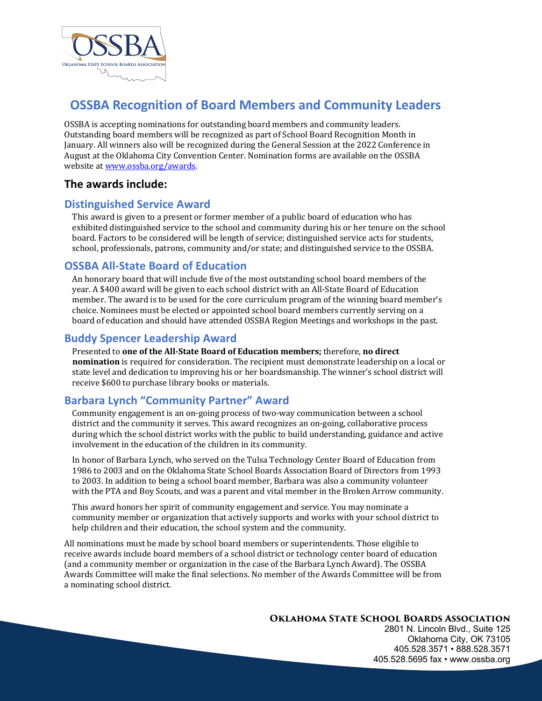

## **OSSBA Recognition of Board Members and Community Leaders**

OSSBA is accepting nominations for outstanding board members and community leaders. Outstanding board members will be recognized as part of School Board Recognition Month in January. All winners also will be recognized during the General Session at the 2022 Conference in August at the Oklahoma City Convention Center. Nomination forms are available on the OSSBA website at www.ossba.org/awards.

### **The awards include:**

## **Distinguished Service Award**

This award is given to a present or former member of a public board of education who has exhibited distinguished service to the school and community during his or her tenure on the school board. Factors to be considered will be length of service; distinguished service acts for students, school, professionals, patrons, community and/or state; and distinguished service to the OSSBA.

### **OSSBA All-State Board of Education**

An honorary board that will include five of the most outstanding school board members of the year. A \$400 award will be given to each school district with an All-State Board of Education member. The award is to be used for the core curriculum program of the winning board member's choice. Nominees must be elected or appointed school board members currently serving on a board of education and should have attended OSSBA Region Meetings and workshops in the past.

## **Buddy Spencer Leadership Award**

Presented to **one of the All-State Board of Education members;** therefore, no direct **nomination** is required for consideration. The recipient must demonstrate leadership on a local or state level and dedication to improving his or her boardsmanship. The winner's school district will receive \$600 to purchase library books or materials.

## **Barbara Lynch "Community Partner" Award**

Community engagement is an on-going process of two-way communication between a school district and the community it serves. This award recognizes an on-going, collaborative process during which the school district works with the public to build understanding, guidance and active involvement in the education of the children in its community.

In honor of Barbara Lynch, who served on the Tulsa Technology Center Board of Education from 1986 to 2003 and on the Oklahoma State School Boards Association Board of Directors from 1993 to 2003. In addition to being a school board member, Barbara was also a community volunteer with the PTA and Boy Scouts, and was a parent and vital member in the Broken Arrow community.

This award honors her spirit of community engagement and service. You may nominate a community member or organization that actively supports and works with your school district to help children and their education, the school system and the community.

All nominations must be made by school board members or superintendents. Those eligible to receive awards include board members of a school district or technology center board of education (and a community member or organization in the case of the Barbara Lynch Award). The OSSBA Awards Committee will make the final selections. No member of the Awards Committee will be from a nominating school district.

#### **Oklahoma State School Boards Association**

2801 N. Lincoln Blvd., Suite 125 Oklahoma City, OK 73105 405.528.3571 • 888.528.3571 405.528.5695 fax • www.ossba.org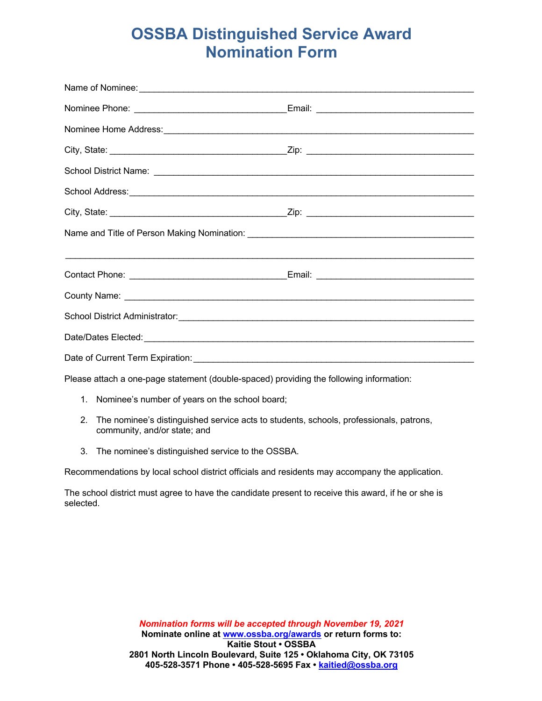## **OSSBA Distinguished Service Award Nomination Form**

| Please attach a one-page statement (double-spaced) providing the following information: |  |  |
|-----------------------------------------------------------------------------------------|--|--|

- 1. Nominee's number of years on the school board;
- 2. The nominee's distinguished service acts to students, schools, professionals, patrons, community, and/or state; and
- 3. The nominee's distinguished service to the OSSBA.

Recommendations by local school district officials and residents may accompany the application.

The school district must agree to have the candidate present to receive this award, if he or she is selected.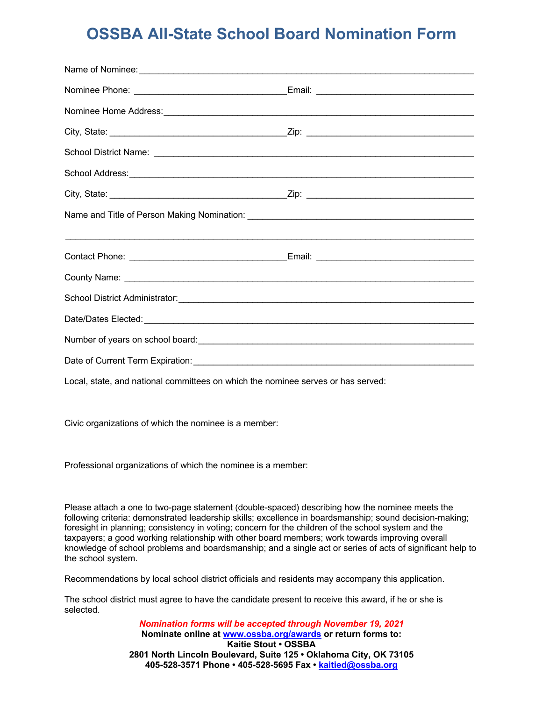# **OSSBA All-State School Board Nomination Form**

Local, state, and national committees on which the nominee serves or has served:

Civic organizations of which the nominee is a member:

Professional organizations of which the nominee is a member:

Please attach a one to two-page statement (double-spaced) describing how the nominee meets the following criteria: demonstrated leadership skills; excellence in boardsmanship; sound decision-making; foresight in planning; consistency in voting; concern for the children of the school system and the taxpayers; a good working relationship with other board members; work towards improving overall knowledge of school problems and boardsmanship; and a single act or series of acts of significant help to the school system.

Recommendations by local school district officials and residents may accompany this application.

The school district must agree to have the candidate present to receive this award, if he or she is selected.

> *Nomination forms will be accepted through November 19, 2021* **Nominate online at www.ossba.org/awards or return forms to: Kaitie Stout • OSSBA 2801 North Lincoln Boulevard, Suite 125 • Oklahoma City, OK 73105 405-528-3571 Phone • 405-528-5695 Fax • kaitied@ossba.org**